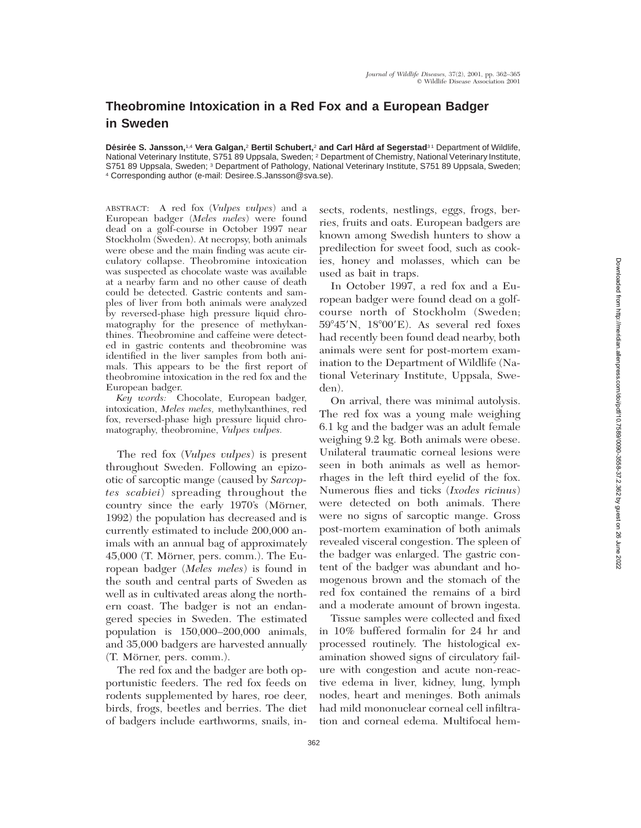## **Theobromine Intoxication in a Red Fox and a European Badger in Sweden**

Désirée S. Jansson,<sup>1,4</sup> Vera Galgan,<sup>2</sup> Bertil Schubert,<sup>2</sup> and Carl Hård af Segerstad<sup>31</sup> Department of Wildlife, National Veterinary Institute, S751 89 Uppsala, Sweden; <sup>2</sup> Department of Chemistry, National Veterinary Institute, S751 89 Uppsala, Sweden; <sup>3</sup> Department of Pathology, National Veterinary Institute, S751 89 Uppsala, Sweden; <sup>4</sup> Corresponding author (e-mail: Desiree.S.Jansson@sva.se).

ABSTRACT: A red fox (*Vulpes vulpes*) and a European badger (*Meles meles*) were found dead on a golf-course in October 1997 near Stockholm (Sweden). At necropsy, both animals were obese and the main finding was acute circulatory collapse. Theobromine intoxication was suspected as chocolate waste was available at a nearby farm and no other cause of death could be detected. Gastric contents and samples of liver from both animals were analyzed by reversed-phase high pressure liquid chromatography for the presence of methylxanthines. Theobromine and caffeine were detected in gastric contents and theobromine was identified in the liver samples from both animals. This appears to be the first report of theobromine intoxication in the red fox and the European badger.

*Key words:* Chocolate, European badger, intoxication, *Meles meles,* methylxanthines, red fox, reversed-phase high pressure liquid chromatography, theobromine, *Vulpes vulpes.*

The red fox (*Vulpes vulpes*) is present throughout Sweden. Following an epizootic of sarcoptic mange (caused by *Sarcoptes scabiei*) spreading throughout the country since the early 1970's (Mörner, 1992) the population has decreased and is currently estimated to include 200,000 animals with an annual bag of approximately  $45,000$  (T. Mörner, pers. comm.). The European badger (*Meles meles*) is found in the south and central parts of Sweden as well as in cultivated areas along the northern coast. The badger is not an endangered species in Sweden. The estimated population is 150,000–200,000 animals, and 35,000 badgers are harvested annually (T. Mörner, pers. comm.).

The red fox and the badger are both opportunistic feeders. The red fox feeds on rodents supplemented by hares, roe deer, birds, frogs, beetles and berries. The diet of badgers include earthworms, snails, in-

sects, rodents, nestlings, eggs, frogs, berries, fruits and oats. European badgers are known among Swedish hunters to show a predilection for sweet food, such as cookies, honey and molasses, which can be used as bait in traps.

In October 1997, a red fox and a European badger were found dead on a golfcourse north of Stockholm (Sweden;  $59^{\circ}45'$ N,  $18^{\circ}00'E$ ). As several red foxes had recently been found dead nearby, both animals were sent for post-mortem examination to the Department of Wildlife (National Veterinary Institute, Uppsala, Sweden).

On arrival, there was minimal autolysis. The red fox was a young male weighing 6.1 kg and the badger was an adult female weighing 9.2 kg. Both animals were obese. Unilateral traumatic corneal lesions were seen in both animals as well as hemorrhages in the left third eyelid of the fox. Numerous flies and ticks (*Ixodes ricinus*) were detected on both animals. There were no signs of sarcoptic mange. Gross post-mortem examination of both animals revealed visceral congestion. The spleen of the badger was enlarged. The gastric content of the badger was abundant and homogenous brown and the stomach of the red fox contained the remains of a bird and a moderate amount of brown ingesta.

Tissue samples were collected and fixed in 10% buffered formalin for 24 hr and processed routinely. The histological examination showed signs of circulatory failure with congestion and acute non-reactive edema in liver, kidney, lung, lymph nodes, heart and meninges. Both animals had mild mononuclear corneal cell infiltration and corneal edema. Multifocal hem-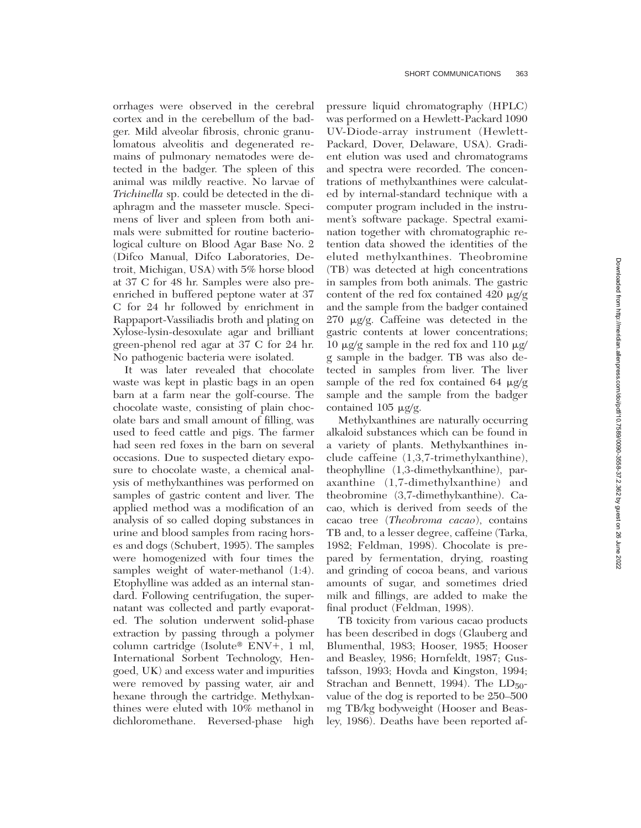orrhages were observed in the cerebral cortex and in the cerebellum of the badger. Mild alveolar fibrosis, chronic granulomatous alveolitis and degenerated remains of pulmonary nematodes were detected in the badger. The spleen of this animal was mildly reactive. No larvae of *Trichinella* sp. could be detected in the diaphragm and the masseter muscle. Specimens of liver and spleen from both animals were submitted for routine bacteriological culture on Blood Agar Base No. 2 (Difco Manual, Difco Laboratories, Detroit, Michigan, USA) with 5% horse blood at 37 C for 48 hr. Samples were also preenriched in buffered peptone water at 37 C for 24 hr followed by enrichment in Rappaport-Vassiliadis broth and plating on Xylose-lysin-desoxulate agar and brilliant green-phenol red agar at 37 C for 24 hr. No pathogenic bacteria were isolated.

It was later revealed that chocolate waste was kept in plastic bags in an open barn at a farm near the golf-course. The chocolate waste, consisting of plain chocolate bars and small amount of filling, was used to feed cattle and pigs. The farmer had seen red foxes in the barn on several occasions. Due to suspected dietary exposure to chocolate waste, a chemical analysis of methylxanthines was performed on samples of gastric content and liver. The applied method was a modification of an analysis of so called doping substances in urine and blood samples from racing horses and dogs (Schubert, 1995). The samples were homogenized with four times the samples weight of water-methanol  $(1:4)$ . Etophylline was added as an internal standard. Following centrifugation, the supernatant was collected and partly evaporated. The solution underwent solid-phase extraction by passing through a polymer column cartridge (Isolute<sup>®</sup> ENV+, 1 ml, International Sorbent Technology, Hengoed, UK) and excess water and impurities were removed by passing water, air and hexane through the cartridge. Methylxanthines were eluted with 10% methanol in dichloromethane. Reversed-phase high pressure liquid chromatography (HPLC) was performed on a Hewlett-Packard 1090 UV-Diode-array instrument (Hewlett-Packard, Dover, Delaware, USA). Gradient elution was used and chromatograms and spectra were recorded. The concentrations of methylxanthines were calculated by internal-standard technique with a computer program included in the instrument's software package. Spectral examination together with chromatographic retention data showed the identities of the eluted methylxanthines. Theobromine (TB) was detected at high concentrations in samples from both animals. The gastric content of the red fox contained  $420 \mu g/g$ and the sample from the badger contained 270  $\mu$ g/g. Caffeine was detected in the gastric contents at lower concentrations; 10  $\mu$ g/g sample in the red fox and 110  $\mu$ g/ g sample in the badger. TB was also detected in samples from liver. The liver sample of the red fox contained 64  $\mu$ g/g sample and the sample from the badger contained 105  $\mu$ g/g.

Methylxanthines are naturally occurring alkaloid substances which can be found in a variety of plants. Methylxanthines include caffeine (1,3,7-trimethylxanthine), theophylline (1,3-dimethylxanthine), paraxanthine (1,7-dimethylxanthine) and theobromine (3,7-dimethylxanthine). Cacao, which is derived from seeds of the cacao tree (*Theobroma cacao*), contains TB and, to a lesser degree, caffeine (Tarka, 1982; Feldman, 1998). Chocolate is prepared by fermentation, drying, roasting and grinding of cocoa beans, and various amounts of sugar, and sometimes dried milk and fillings, are added to make the final product (Feldman, 1998).

TB toxicity from various cacao products has been described in dogs (Glauberg and Blumenthal, 1983; Hooser, 1985; Hooser and Beasley, 1986; Hornfeldt, 1987; Gustafsson, 1993; Hovda and Kingston, 1994; Strachan and Bennett, 1994). The  $LD_{50}$ value of the dog is reported to be 250–500 mg TB/kg bodyweight (Hooser and Beasley, 1986). Deaths have been reported af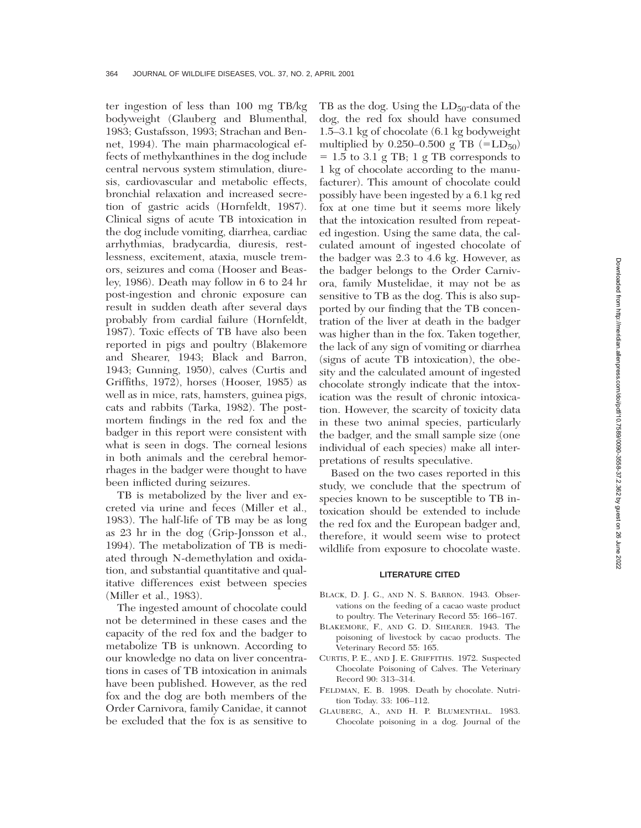ter ingestion of less than 100 mg TB/kg bodyweight (Glauberg and Blumenthal, 1983; Gustafsson, 1993; Strachan and Bennet, 1994). The main pharmacological effects of methylxanthines in the dog include central nervous system stimulation, diuresis, cardiovascular and metabolic effects, bronchial relaxation and increased secretion of gastric acids (Hornfeldt, 1987). Clinical signs of acute TB intoxication in the dog include vomiting, diarrhea, cardiac arrhythmias, bradycardia, diuresis, restlessness, excitement, ataxia, muscle tremors, seizures and coma (Hooser and Beasley, 1986). Death may follow in 6 to 24 hr post-ingestion and chronic exposure can result in sudden death after several days probably from cardial failure (Hornfeldt, 1987). Toxic effects of TB have also been reported in pigs and poultry (Blakemore and Shearer, 1943; Black and Barron, 1943; Gunning, 1950), calves (Curtis and Griffiths, 1972), horses (Hooser, 1985) as well as in mice, rats, hamsters, guinea pigs, cats and rabbits (Tarka, 1982). The postmortem findings in the red fox and the badger in this report were consistent with what is seen in dogs. The corneal lesions in both animals and the cerebral hemorrhages in the badger were thought to have been inflicted during seizures.

TB is metabolized by the liver and excreted via urine and feces (Miller et al., 1983). The half-life of TB may be as long as 23 hr in the dog (Grip-Jonsson et al., 1994). The metabolization of TB is mediated through N-demethylation and oxidation, and substantial quantitative and qualitative differences exist between species (Miller et al., 1983).

The ingested amount of chocolate could not be determined in these cases and the capacity of the red fox and the badger to metabolize TB is unknown. According to our knowledge no data on liver concentrations in cases of TB intoxication in animals have been published. However, as the red fox and the dog are both members of the Order Carnivora, family Canidae, it cannot be excluded that the fox is as sensitive to

TB as the dog. Using the  $LD_{50}$ -data of the dog, the red fox should have consumed 1.5–3.1 kg of chocolate (6.1 kg bodyweight multiplied by  $0.250-0.500 \text{ g} \text{ TB } (=LD_{50})$  $= 1.5$  to 3.1 g TB; 1 g TB corresponds to 1 kg of chocolate according to the manufacturer). This amount of chocolate could possibly have been ingested by a 6.1 kg red fox at one time but it seems more likely that the intoxication resulted from repeated ingestion. Using the same data, the calculated amount of ingested chocolate of the badger was 2.3 to 4.6 kg. However, as the badger belongs to the Order Carnivora, family Mustelidae, it may not be as sensitive to TB as the dog. This is also supported by our finding that the TB concentration of the liver at death in the badger was higher than in the fox. Taken together, the lack of any sign of vomiting or diarrhea (signs of acute TB intoxication), the obesity and the calculated amount of ingested chocolate strongly indicate that the intoxication was the result of chronic intoxication. However, the scarcity of toxicity data in these two animal species, particularly the badger, and the small sample size (one individual of each species) make all interpretations of results speculative.

Based on the two cases reported in this study, we conclude that the spectrum of species known to be susceptible to TB intoxication should be extended to include the red fox and the European badger and, therefore, it would seem wise to protect wildlife from exposure to chocolate waste.

## **LITERATURE CITED**

- BLACK, D. J. G., AND N. S. BARRON. 1943. Observations on the feeding of a cacao waste product to poultry. The Veterinary Record 55: 166–167.
- BLAKEMORE, F., AND G. D. SHEARER. 1943. The poisoning of livestock by cacao products. The Veterinary Record 55: 165.
- CURTIS, P. E., AND J. E. GRIFFITHS. 1972. Suspected Chocolate Poisoning of Calves. The Veterinary Record 90: 313–314.
- FELDMAN, E. B. 1998. Death by chocolate. Nutrition Today. 33: 106–112.
- GLAUBERG, A., AND H. P. BLUMENTHAL. 1983. Chocolate poisoning in a dog. Journal of the